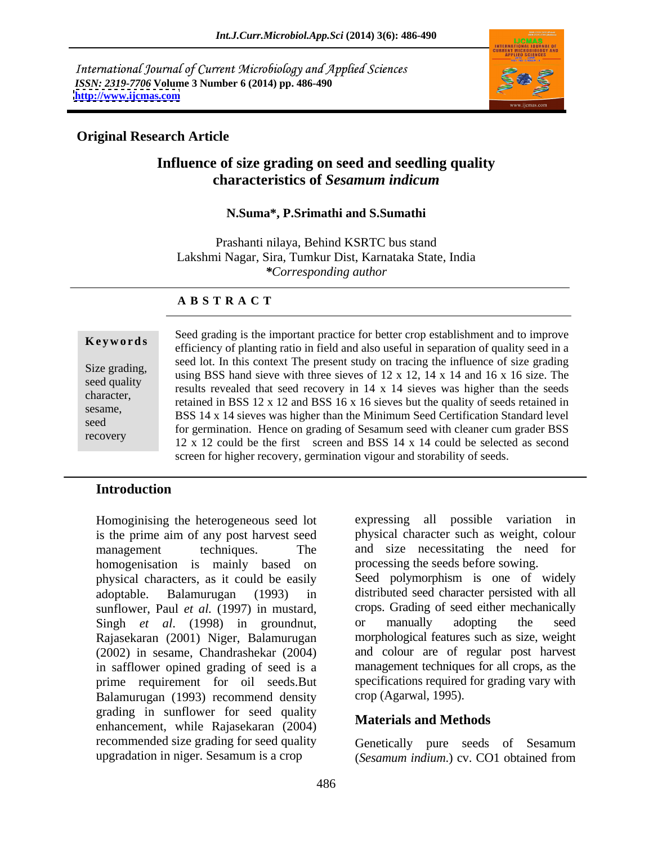International Journal of Current Microbiology and Applied Sciences *ISSN: 2319-7706* **Volume 3 Number 6 (2014) pp. 486-490 <http://www.ijcmas.com>**



## **Original Research Article**

# **Influence of size grading on seed and seedling quality characteristics of** *Sesamum indicum*

### **N.Suma\*, P.Srimathi and S.Sumathi**

Prashanti nilaya, Behind KSRTC bus stand Lakshmi Nagar, Sira, Tumkur Dist, Karnataka State, India *\*Corresponding author* 

### **A B S T R A C T**

**Keywords**efficiency of planting ratio in field and also useful in separation of quality seed in a Size grading,<br>sixe grading, using BSS hand sieve with three sieves of 12 x 12, 14 x 14 and 16 x 16 size. The seed quality<br>
results revealed that seed recovery in 14 x 14 sieves was higher than the seeds character,<br>
retained in BSS 12 x 12 and BSS 16 x 16 sieves but the quality of seeds retained in sesame,<br>BSS 14 x 14 sieves was higher than the Minimum Seed Certification Standard level seed<br>for germination. Hence on grading of Sesamum seed with cleaner cum grader BSS recovery<br>12 x 12 could be the first screen and BSS 14 x 14 could be selected as second Seed grading is the important practice for better crop establishment and to improve seed lot. In this context The present study on tracing the influence of size grading screen for higher recovery, germination vigour and storability of seeds.

## **Introduction**

Homoginising the heterogeneous seed lot expressing all possible variation in is the prime aim of any post harvest seed management techniques. The and size necessitating the need for homogenisation is mainly based on physical characters, as it could be easily adoptable. Balamurugan (1993) in distributed seed character persisted with all sunflower, Paul *et al.* (1997) in mustard, Singh *et al.* (1998) in groundnut, or manually adopting the seed Rajasekaran (2001) Niger, Balamurugan (2002) in sesame, Chandrashekar (2004) in safflower opined grading of seed is a prime requirement for oil seeds.But Balamurugan (1993) recommend density grading in sunflower for seed quality enhancement, while Rajasekaran (2004) recommended size grading for seed quality upgradation in niger. Sesamum is a crop (Sesamum indium.) cv. CO1 obtained from

expressing all possible variation in physical character such as weight, colour processing the seeds before sowing.

Seed polymorphism is one of widely crops. Grading of seed either mechanically or manually adopting the seed morphological features such as size, weight and colour are of regular post harvest management techniques for all crops, as the specifications required for grading vary with crop (Agarwal, 1995).

### **Materials and Methods**

Genetically pure seeds of Sesamum (*Sesamum indium*.) cv. CO1 obtained from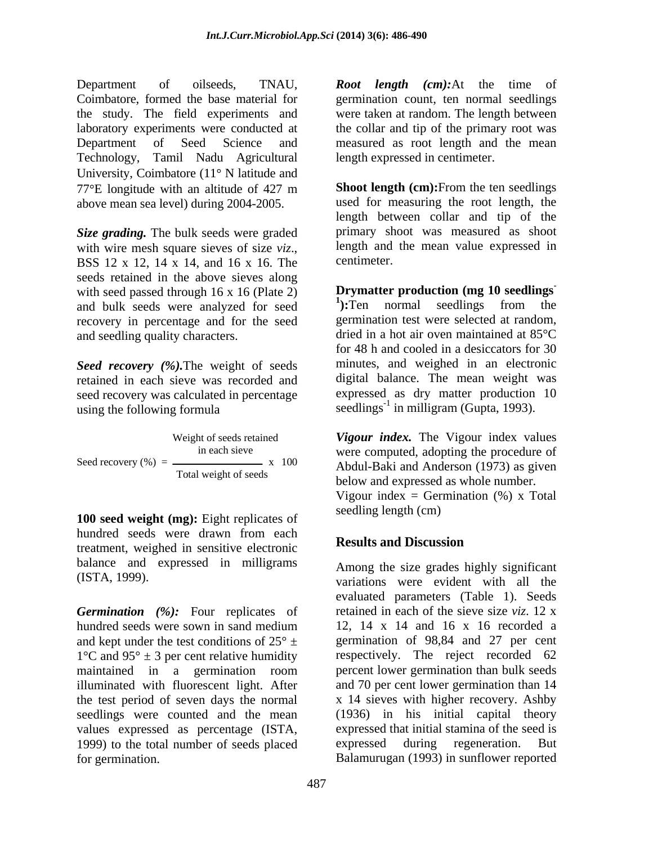Technology, Tamil Nadu Agricultural University, Coimbatore  $(11^{\circ} N)$  latitude and above mean sea level) during 2004-2005.

*Size grading.* The bulk seeds were graded with wire mesh square sieves of size  $viz.$ , length and the mean value expressed in BSS 12 x 12, 14 x 14, and 16 x 16. The centimeter. seeds retained in the above sieves along with seed passed through 16 x 16 (Plate 2) **Drymatter production (mg 10 seedlings** and bulk seeds were analyzed for seed  $\frac{1}{2}$ . Ten normal seedlings from the and bulk seeds were analyzed for seed recovery in percentage and for the seed and seedling quality characters.

*Seed recovery (%).*The weight of seeds seed recovery was calculated in percentage  $using the following formula$ <br>Seedlings<sup>-1</sup> in milligram (Gupta, 1993).

**100 seed weight (mg):** Eight replicates of hundred seeds were drawn from each<br>
Results and Discussion treatment, weighed in sensitive electronic balance and expressed in milligrams

*Germination (%):* Four replicates of hundred seeds were sown in sand medium 12, 14 x 14 and 16 x 16 recorded a and kept under the test conditions of  $25^{\circ}$   $\pm$  germination of 98,84 and 27 per cent  $1^{\circ}$ C and  $95^{\circ} \pm 3$  per cent relative humidity maintained in a germination room illuminated with fluorescent light. After the test period of seven days the normal seedlings were counted and the mean values expressed as percentage (ISTA, 1999) to the total number of seeds placed expressed during regeneration. But for germination. Balamurugan (1993) in sunflower reported

Department of oilseeds, TNAU, *Root length (cm):*At the time of Coimbatore, formed the base material for germination count, ten normal seedlings the study. The field experiments and were taken at random. The length between laboratory experiments were conducted at the collar and tip of the primary root was Department of Seed Science and measured as root length and the mean length expressed in centimeter.

 $77^{\circ}$ E longitude with an altitude of 427 m **Shoot length (cm):** From the ten seedlings **Shoot length (cm):**From the ten seedlings used for measuring the root length, the length between collar and tip of the primary shoot was measured as shoot length and the mean value expressed in centimeter.

retained in each sieve was recorded and digital balance. The mean weight was **Drymatter production (mg 10 seedlings -** <sup>1</sup>: Ten normal seedlings from **):**Ten normal seedlings from the germination test were selected at random, dried in a hot air oven maintained at 85°C for 48 h and cooled in a desiccators for 30 minutes, and weighed in an electronic expressed as dry matter production 10

Weight of seeds retained *Vigour index.* The Vigour index values in each sieve were computed, adopting the procedure of Seed recovery  $\left(\% \right) = \frac{x}{\sqrt{2\pi}}$   $\frac{x}{\sqrt{100}}$  Abdul-Baki and Anderson (1973) as given Total weight of seeds<br>below and expressed as whole number. Vigour index = Germination  $(\%)$  x Total seedling length (cm)

# **Results and Discussion**

(ISTA, 1999). variations were evident with all the Among the size grades highly significant evaluated parameters (Table 1). Seeds retained in each of the sieve size *viz*. 12 x 12, 14 x 14 and 16 x 16 recorded a respectively. The reject recorded 62 percent lower germination than bulk seeds and 70 per cent lower germination than 14 x 14 sieves with higher recovery. Ashby (1936) in his initial capital theory expressed that initial stamina of the seed is expressed during regeneration.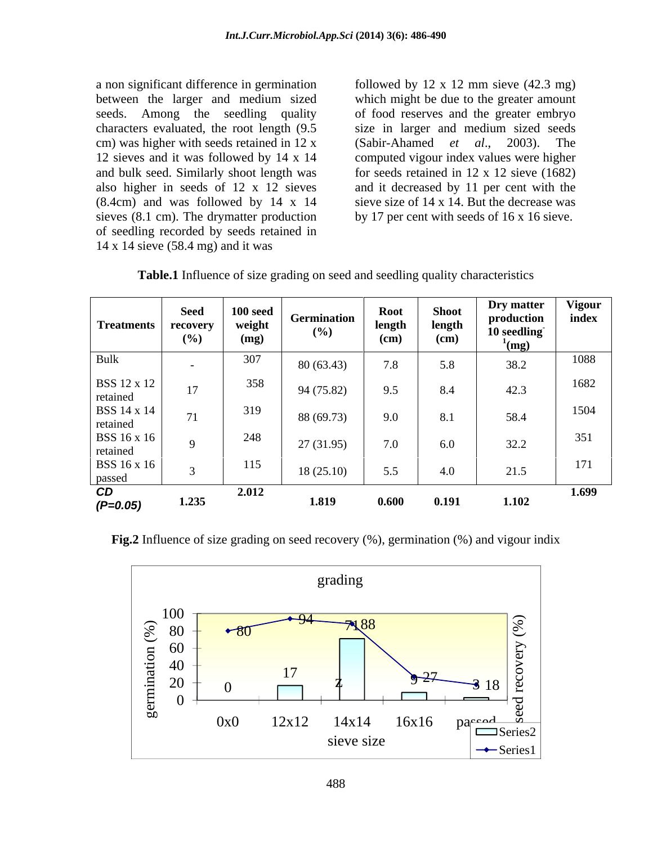a non significant difference in germination followed by 12 x 12 mm sieve (42.3 mg) between the larger and medium sized seeds. Among the seedling quality of food reserves and the greater embryo characters evaluated, the root length (9.5 cm) was higher with seeds retained in 12 x (Sabir-Ahamed *et al.*, 2003). The 12 sieves and it was followed by 14 x 14 computed vigour index values were higher and bulk seed. Similarly shoot length was for seeds retained in 12 x 12 sieve (1682) also higher in seeds of 12 x 12 sieves and it decreased by 11 per cent with the (8.4cm) and was followed by 14 x 14 sieves (8.1 cm). The drymatter production of seedling recorded by seeds retained in 14 x 14 sieve (58.4 mg) and it was

which might be due to the greater amount size in larger and medium sized seeds (Sabir-Ahamed *et al*., 2003). The sieve size of 14 x 14. But the decrease was by 17 per cent with seeds of 16 x 16 sieve.

| <b>Table.1</b> Influence of size grading on seed and seedling quality characteristics |
|---------------------------------------------------------------------------------------|
|---------------------------------------------------------------------------------------|

| <b>Treatments</b>              | <b>Seed</b><br>recovery<br>(%) | $100$ seed<br>weight<br>(mg) | Germination<br>(%) | Root<br>length<br>(cm) | <b>Shoot</b><br>length<br>(cm) | Dry matter<br>production<br>10 seedling<br>$\log$ | <b>Vigour</b><br>index |
|--------------------------------|--------------------------------|------------------------------|--------------------|------------------------|--------------------------------|---------------------------------------------------|------------------------|
| Bulk                           | $\sim$                         | 307                          | 80 (63.43)         | 7.8                    | 5.8                            | 38.2                                              | 1088                   |
| <b>BSS 12 x 12</b><br>retained | 1 <sub>7</sub><br>$\perp$      | 358                          | 94 (75.82)         | 9.5                    | 8.4                            | 42.3                                              | 1682                   |
| <b>BSS 14 x 14</b><br>retained | 71                             | 319                          | 88 (69.73)         | 9.0                    | 8.1                            | 58.4                                              | 1504                   |
| <b>BSS 16 x 16</b><br>retained |                                | 248                          | 27(31.95)          | 7.0                    | 6.0                            | 32.2                                              | 351                    |
| <b>BSS 16 x 16</b><br>passed   |                                | 115                          | 18(25.10)          | 5.5                    | 4.0                            | 21.5                                              | 171                    |
| CD<br>$(P=0.05)$               | 1.235                          | 2.012                        | 1.819              | 0.600                  | 0.191                          | 1.102                                             | 1.699                  |

**Fig.2** Influence of size grading on seed recovery (%), germination (%) and vigour indix

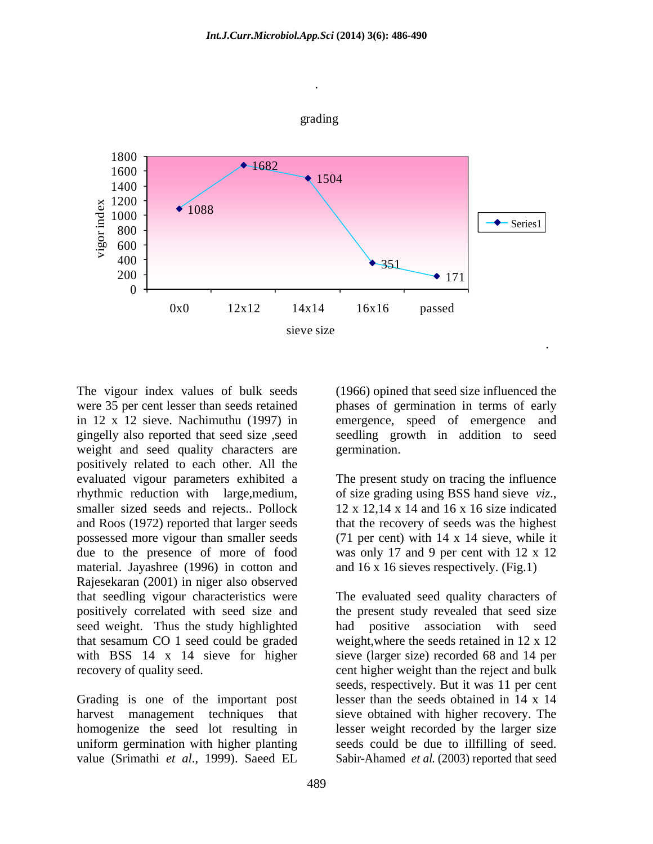

weight and seed quality characters are germination. positively related to each other. All the evaluated vigour parameters exhibited a rhythmic reduction with large, medium, of size grading using BSS hand sieve viz., smaller sized seeds and rejects.. Pollock  $12 \times 12.14 \times 14$  and  $16 \times 16$  size indicated and Roos (1972) reported that larger seeds that the recovery of seeds was the highest possessed more vigour than smaller seeds (71 per cent) with 14 x 14 sieve, while it due to the presence of more of food was only 17 and 9 per cent with 12 x 12 material. Jayashree (1996) in cotton and Rajesekaran (2001) in niger also observed that seedling vigour characteristics were The evaluated seed quality characters of positively correlated with seed size and the present study revealed that seed size seed weight. Thus the study highlighted had positive association with seed that sesamum CO 1 seed could be graded weight,where the seeds retained in 12 x 12 with BSS 14 x 14 sieve for higher sieve (larger size) recorded 68 and 14 per

Grading is one of the important post harvest management techniques that sieve obtained with higher recovery. The homogenize the seed lot resulting in lesser weight recorded by the larger size uniform germination with higher planting seeds could be due to illfilling of seed. value (Srimathi *et al*., 1999). Saeed EL Sabir-Ahamed *et al*. (2003) reported that seed

489

The vigour index values of bulk seeds (1966) opined that seed size influenced the were 35 per cent lesser than seeds retained phases of germination in terms of early in 12 x 12 sieve. Nachimuthu (1997) in emergence, speed of emergence and gingelly also reported that seed size ,seed seedling growth in addition to seed germination.

. A construction of the construction of the construction of the construction of the construction of the construction of the construction of the construction of the construction of the construction of the construction of th

The present study on tracing the influence of size grading using BSS hand sieve *viz*., 12 <sup>x</sup> 12,14 <sup>x</sup> <sup>14</sup> and <sup>16</sup> <sup>x</sup> <sup>16</sup> size indicated and 16 x 16 sieves respectively. (Fig.1)

recovery of quality seed. cent higher weight than the reject and bulk had positive association with seeds, respectively. But it was 11 per cent lesser than the seeds obtained in 14 x 14